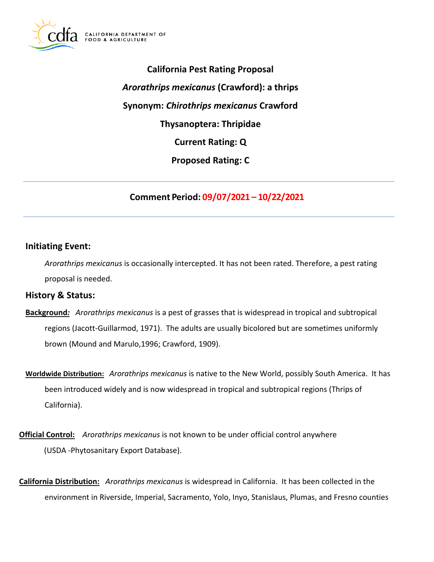

**California Pest Rating Proposal**  *Arorathrips mexicanus* **(Crawford): a thrips Synonym:** *Chirothrips mexicanus* **Crawford Thysanoptera: Thripidae Current Rating: Q Proposed Rating: C** 

**Comment Period: 09/07/2021 – 10/22/2021**

## **Initiating Event:**

*Arorathrips mexicanus* is occasionally intercepted. It has not been rated. Therefore, a pest rating proposal is needed.

### **History & Status:**

- **Background***: Arorathrips mexicanus* is a pest of grasses that is widespread in tropical and subtropical regions (Jacott-Guillarmod, 1971). The adults are usually bicolored but are sometimes uniformly brown (Mound and Marulo,1996; Crawford, 1909).
- **Worldwide Distribution:** *Arorathrips mexicanus* is native to the New World, possibly South America. It has been introduced widely and is now widespread in tropical and subtropical regions (Thrips of California).
- **Official Control:** *Arorathrips mexicanus* is not known to be under official control anywhere (USDA -Phytosanitary Export Database).
- **California Distribution:** *Arorathrips mexicanus* is widespread in California. It has been collected in the environment in Riverside, Imperial, Sacramento, Yolo, Inyo, Stanislaus, Plumas, and Fresno counties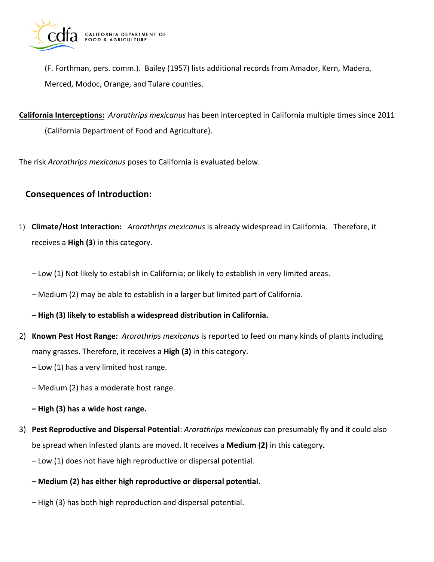

(F. Forthman, pers. comm.). Bailey (1957) lists additional records from Amador, Kern, Madera, Merced, Modoc, Orange, and Tulare counties.

**California Interceptions:** *Arorathrips mexicanus* has been intercepted in California multiple times since 2011 (California Department of Food and Agriculture).

The risk *Arorathrips mexicanus* poses to California is evaluated below.

# **Consequences of Introduction:**

- 1) **Climate/Host Interaction:** *Arorathrips mexicanus* is already widespread in California. Therefore, it receives a **High (3**) in this category.
	- Low (1) Not likely to establish in California; or likely to establish in very limited areas.
	- Medium (2) may be able to establish in a larger but limited part of California.

**– High (3) likely to establish a widespread distribution in California.** 

- 2) **Known Pest Host Range:** *Arorathrips mexicanus* is reported to feed on many kinds of plants including many grasses. Therefore, it receives a **High (3)** in this category.
	- Low (1) has a very limited host range.
	- Medium (2) has a moderate host range.
	- **– High (3) has a wide host range.**
- 3) **Pest Reproductive and Dispersal Potential**: *Arorathrips mexicanus* can presumably fly and it could also be spread when infested plants are moved. It receives a **Medium (2)** in this category**.** 
	- Low (1) does not have high reproductive or dispersal potential.
	- **– Medium (2) has either high reproductive or dispersal potential.**
	- High (3) has both high reproduction and dispersal potential.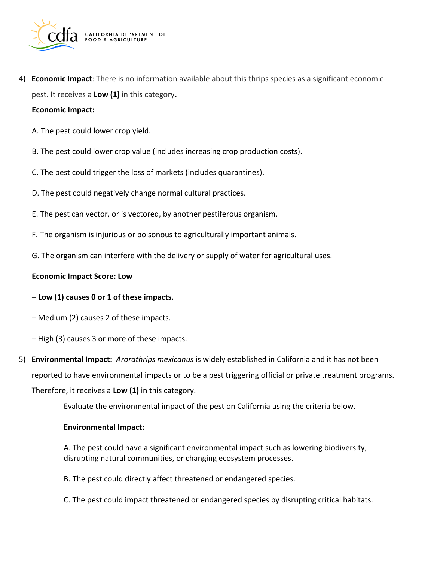

4) **Economic Impact**: There is no information available about this thrips species as a significant economic pest. It receives a **Low (1)** in this category**.** 

#### **Economic Impact:**

- A. The pest could lower crop yield.
- B. The pest could lower crop value (includes increasing crop production costs).
- C. The pest could trigger the loss of markets (includes quarantines).
- D. The pest could negatively change normal cultural practices.
- E. The pest can vector, or is vectored, by another pestiferous organism.
- F. The organism is injurious or poisonous to agriculturally important animals.
- G. The organism can interfere with the delivery or supply of water for agricultural uses.

#### **Economic Impact Score: Low**

#### **– Low (1) causes 0 or 1 of these impacts.**

- Medium (2) causes 2 of these impacts.
- High (3) causes 3 or more of these impacts.
- 5) **Environmental Impact:** *Arorathrips mexicanus* is widely established in California and it has not been reported to have environmental impacts or to be a pest triggering official or private treatment programs. Therefore, it receives a **Low (1)** in this category.

Evaluate the environmental impact of the pest on California using the criteria below.

#### **Environmental Impact:**

A. The pest could have a significant environmental impact such as lowering biodiversity, disrupting natural communities, or changing ecosystem processes.

- B. The pest could directly affect threatened or endangered species.
- C. The pest could impact threatened or endangered species by disrupting critical habitats.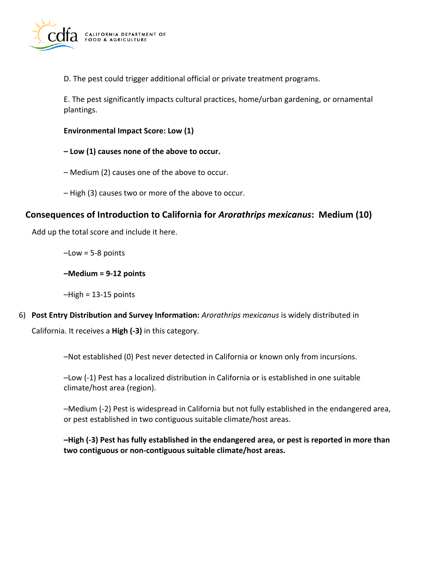

D. The pest could trigger additional official or private treatment programs.

E. The pest significantly impacts cultural practices, home/urban gardening, or ornamental plantings.

#### **Environmental Impact Score: Low (1)**

**– Low (1) causes none of the above to occur.** 

- Medium (2) causes one of the above to occur.
- High (3) causes two or more of the above to occur.

## **Consequences of Introduction to California for** *Arorathrips mexicanus***: Medium (10)**

Add up the total score and include it here.

–Low = 5-8 points

**–Medium = 9-12 points** 

 $-High = 13-15$  points

6) **Post Entry Distribution and Survey Information:** *Arorathrips mexicanus* is widely distributed in

California. It receives a **High (-3)** in this category.

–Not established (0) Pest never detected in California or known only from incursions.

–Low (-1) Pest has a localized distribution in California or is established in one suitable climate/host area (region).

–Medium (-2) Pest is widespread in California but not fully established in the endangered area, or pest established in two contiguous suitable climate/host areas.

**–High (-3) Pest has fully established in the endangered area, or pest is reported in more than two contiguous or non-contiguous suitable climate/host areas.**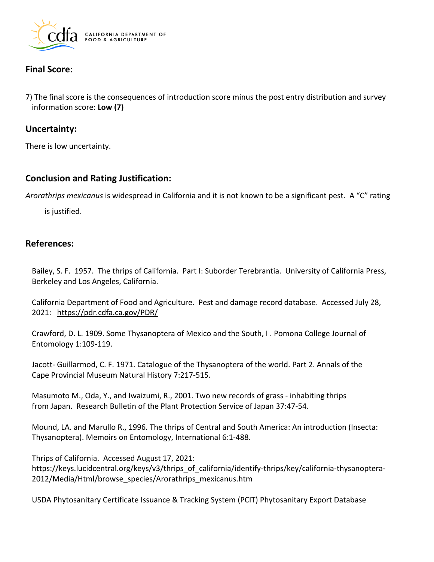

# **Final Score:**

7) The final score is the consequences of introduction score minus the post entry distribution and survey information score: **Low (7)** 

### **Uncertainty:**

There is low uncertainty.

# **Conclusion and Rating Justification:**

*Arorathrips mexicanus* is widespread in California and it is not known to be a significant pest. A "C" rating

is justified.

### **References:**

Bailey, S. F. 1957. The thrips of California. Part I: Suborder Terebrantia. University of California Press, Berkeley and Los Angeles, California.

California Department of Food and Agriculture. Pest and damage record database. Accessed July 28, 2021: <https://pdr.cdfa.ca.gov/PDR/>

Crawford, D. L. 1909. Some Thysanoptera of Mexico and the South, I . Pomona College Journal of Entomology 1:109-119.

Jacott- Guillarmod, C. F. 1971. Catalogue of the Thysanoptera of the world. Part 2. Annals of the Cape Provincial Museum Natural History 7:217-515.

Masumoto M., Oda, Y., and Iwaizumi, R., 2001. Two new records of grass - inhabiting thrips from Japan. Research Bulletin of the Plant Protection Service of Japan 37:47-54.

Mound, LA. and Marullo R., 1996. The thrips of Central and South America: An introduction (Insecta: Thysanoptera). Memoirs on Entomology, International 6:1-488.

Thrips of California. Accessed August 17, 2021: [https://keys.lucidcentral.org/keys/v3/thrips\\_of\\_california/identify-thrips/key/california-thysanoptera](https://keys.lucidcentral.org/keys/v3/thrips_of_california/identify-thrips/key/california-thysanoptera)-2012/Media/Html/browse\_species/Arorathrips\_mexicanus.htm

USDA Phytosanitary Certificate Issuance & Tracking System (PCIT) Phytosanitary Export Database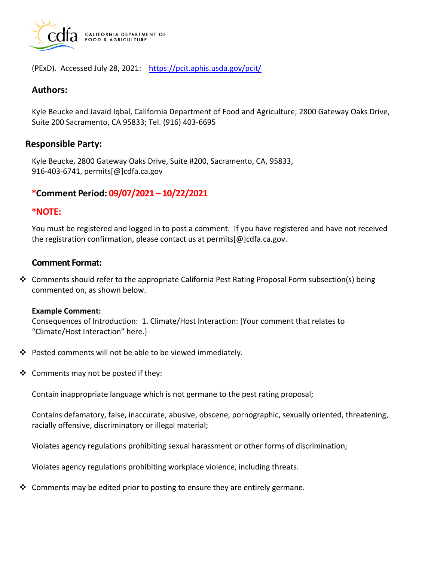

(PExD). Accessed July 28, 2021: https://pcit.aphis.usda.gov/pcit/

### **Authors:**

Kyle Beucke and Javaid Iqbal, California Department of Food and Agriculture; 2800 Gateway Oaks Drive, Suite 200 Sacramento, CA 95833; Tel. (916) 403-6695

### **Responsible Party:**

Kyle Beucke, 2800 Gateway Oaks Drive, Suite #200, Sacramento, CA, 95833, 916-403-6741, [permits\[@\]cdfa.ca.gov](https://permits[@]cdfa.ca.gov) 

## **\*Comment Period: 09/07/2021 – 10/22/2021**

### **\*NOTE:**

You must be registered and logged in to post a comment. If you have registered and have not received the registration confirmation, please contact us at [permits\[@\]cdfa.ca.gov](https://permits[@]cdfa.ca.gov).

# **Comment Format:**

❖ Comments should refer to the appropriate California Pest Rating Proposal Form subsection(s) being commented on, as shown below.

#### **Example Comment:**

Consequences of Introduction: 1. Climate/Host Interaction: [Your comment that relates to "Climate/Host Interaction" here.]

- ❖ Posted comments will not be able to be viewed immediately.
- ❖ Comments may not be posted if they:

Contain inappropriate language which is not germane to the pest rating proposal;

Contains defamatory, false, inaccurate, abusive, obscene, pornographic, sexually oriented, threatening, racially offensive, discriminatory or illegal material;

Violates agency regulations prohibiting sexual harassment or other forms of discrimination;

Violates agency regulations prohibiting workplace violence, including threats.

❖ Comments may be edited prior to posting to ensure they are entirely germane.